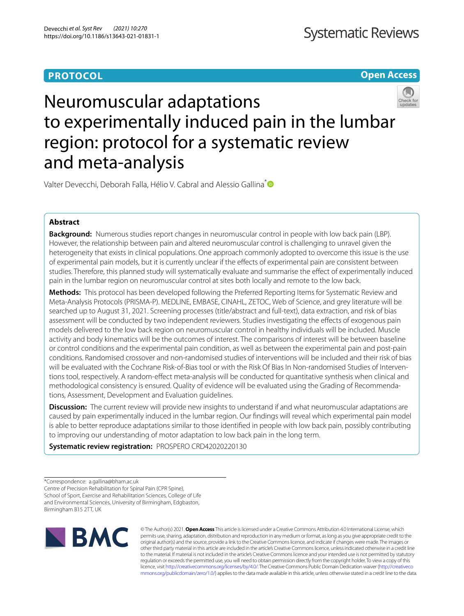## **PROTOCOL**

**Open Access**

# Neuromuscular adaptations to experimentally induced pain in the lumbar region: protocol for a systematic review and meta-analysis

Valter Devecchi, Deborah Falla, Hélio V. Cabral and Alessio Gallina<sup>[\\*](http://orcid.org/0000-0003-1945-5518)</sup>

## **Abstract**

**Background:** Numerous studies report changes in neuromuscular control in people with low back pain (LBP). However, the relationship between pain and altered neuromuscular control is challenging to unravel given the heterogeneity that exists in clinical populations. One approach commonly adopted to overcome this issue is the use of experimental pain models, but it is currently unclear if the efects of experimental pain are consistent between studies. Therefore, this planned study will systematically evaluate and summarise the efect of experimentally induced pain in the lumbar region on neuromuscular control at sites both locally and remote to the low back.

**Methods:** This protocol has been developed following the Preferred Reporting Items for Systematic Review and Meta-Analysis Protocols (PRISMA-P). MEDLINE, EMBASE, CINAHL, ZETOC, Web of Science, and grey literature will be searched up to August 31, 2021. Screening processes (title/abstract and full-text), data extraction, and risk of bias assessment will be conducted by two independent reviewers. Studies investigating the efects of exogenous pain models delivered to the low back region on neuromuscular control in healthy individuals will be included. Muscle activity and body kinematics will be the outcomes of interest. The comparisons of interest will be between baseline or control conditions and the experimental pain condition, as well as between the experimental pain and post-pain conditions. Randomised crossover and non-randomised studies of interventions will be included and their risk of bias will be evaluated with the Cochrane Risk-of-Bias tool or with the Risk Of Bias In Non-randomised Studies of Interventions tool, respectively. A random-efect meta-analysis will be conducted for quantitative synthesis when clinical and methodological consistency is ensured. Quality of evidence will be evaluated using the Grading of Recommendations, Assessment, Development and Evaluation guidelines.

**Discussion:** The current review will provide new insights to understand if and what neuromuscular adaptations are caused by pain experimentally induced in the lumbar region. Our fndings will reveal which experimental pain model is able to better reproduce adaptations similar to those identifed in people with low back pain, possibly contributing to improving our understanding of motor adaptation to low back pain in the long term.

**Systematic review registration:** PROSPERO CRD42020220130

<sup>\*</sup>Correspondence: a.gallina@bham.ac.uk Centre of Precision Rehabilitation for Spinal Pain (CPR Spine), School of Sport, Exercise and Rehabilitation Sciences, College of Life and Environmental Sciences, University of Birmingham, Edgbaston, Birmingham B15 2TT, UK



© The Author(s) 2021. **Open Access** This article is licensed under a Creative Commons Attribution 4.0 International License, which permits use, sharing, adaptation, distribution and reproduction in any medium or format, as long as you give appropriate credit to the original author(s) and the source, provide a link to the Creative Commons licence, and indicate if changes were made. The images or other third party material in this article are included in the article's Creative Commons licence, unless indicated otherwise in a credit line to the material. If material is not included in the article's Creative Commons licence and your intended use is not permitted by statutory regulation or exceeds the permitted use, you will need to obtain permission directly from the copyright holder. To view a copy of this licence, visit [http://creativecommons.org/licenses/by/4.0/.](http://creativecommons.org/licenses/by/4.0/) The Creative Commons Public Domain Dedication waiver ([http://creativeco](http://creativecommons.org/publicdomain/zero/1.0/) [mmons.org/publicdomain/zero/1.0/](http://creativecommons.org/publicdomain/zero/1.0/)) applies to the data made available in this article, unless otherwise stated in a credit line to the data.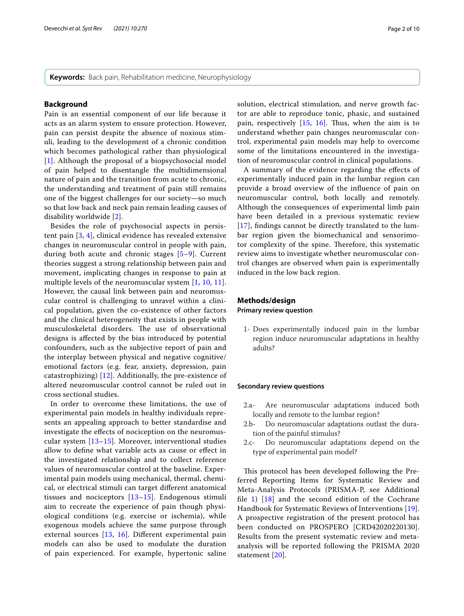**Keywords:** Back pain, Rehabilitation medicine, Neurophysiology

#### **Background**

Pain is an essential component of our life because it acts as an alarm system to ensure protection. However, pain can persist despite the absence of noxious stimuli, leading to the development of a chronic condition which becomes pathological rather than physiological [[1](#page-8-0)]. Although the proposal of a biopsychosocial model of pain helped to disentangle the multidimensional nature of pain and the transition from acute to chronic, the understanding and treatment of pain still remains one of the biggest challenges for our society—so much so that low back and neck pain remain leading causes of disability worldwide [\[2](#page-8-1)].

Besides the role of psychosocial aspects in persistent pain [[3,](#page-8-2) [4\]](#page-8-3), clinical evidence has revealed extensive changes in neuromuscular control in people with pain, during both acute and chronic stages [[5–](#page-8-4)[9\]](#page-8-5). Current theories suggest a strong relationship between pain and movement, implicating changes in response to pain at multiple levels of the neuromuscular system [[1,](#page-8-0) [10,](#page-8-6) [11\]](#page-8-7). However, the causal link between pain and neuromuscular control is challenging to unravel within a clinical population, given the co-existence of other factors and the clinical heterogeneity that exists in people with musculoskeletal disorders. The use of observational designs is afected by the bias introduced by potential confounders, such as the subjective report of pain and the interplay between physical and negative cognitive/ emotional factors (e.g. fear, anxiety, depression, pain catastrophizing) [[12\]](#page-8-8). Additionally, the pre-existence of altered neuromuscular control cannot be ruled out in cross sectional studies.

In order to overcome these limitations, the use of experimental pain models in healthy individuals represents an appealing approach to better standardise and investigate the efects of nociception on the neuromuscular system [[13–](#page-8-9)[15](#page-8-10)]. Moreover, interventional studies allow to defne what variable acts as cause or efect in the investigated relationship and to collect reference values of neuromuscular control at the baseline. Experimental pain models using mechanical, thermal, chemical, or electrical stimuli can target diferent anatomical tissues and nociceptors [[13–](#page-8-9)[15](#page-8-10)]. Endogenous stimuli aim to recreate the experience of pain though physiological conditions (e.g. exercise or ischemia), while exogenous models achieve the same purpose through external sources [[13](#page-8-9), [16\]](#page-8-11). Diferent experimental pain models can also be used to modulate the duration of pain experienced. For example, hypertonic saline

solution, electrical stimulation, and nerve growth factor are able to reproduce tonic, phasic, and sustained pain, respectively  $[15, 16]$  $[15, 16]$  $[15, 16]$  $[15, 16]$  $[15, 16]$ . Thus, when the aim is to understand whether pain changes neuromuscular control, experimental pain models may help to overcome some of the limitations encountered in the investigation of neuromuscular control in clinical populations.

A summary of the evidence regarding the efects of experimentally induced pain in the lumbar region can provide a broad overview of the infuence of pain on neuromuscular control, both locally and remotely. Although the consequences of experimental limb pain have been detailed in a previous systematic review [[17](#page-8-12)], fndings cannot be directly translated to the lumbar region given the biomechanical and sensorimotor complexity of the spine. Therefore, this systematic review aims to investigate whether neuromuscular control changes are observed when pain is experimentally induced in the low back region.

## **Methods/design Primary review question**

1- Does experimentally induced pain in the lumbar region induce neuromuscular adaptations in healthy adults?

## **Secondary review questions**

- 2.a- Are neuromuscular adaptations induced both locally and remote to the lumbar region?
- 2.b- Do neuromuscular adaptations outlast the duration of the painful stimulus?
- 2.c- Do neuromuscular adaptations depend on the type of experimental pain model?

This protocol has been developed following the Preferred Reporting Items for Systematic Review and Meta-Analysis Protocols (PRISMA-P, see Additional file  $1)$   $[18]$  $[18]$  and the second edition of the Cochrane Handbook for Systematic Reviews of Interventions [[19](#page-8-15)]. A prospective registration of the present protocol has been conducted on PROSPERO [CRD42020220130]. Results from the present systematic review and metaanalysis will be reported following the PRISMA 2020 statement [\[20](#page-8-16)].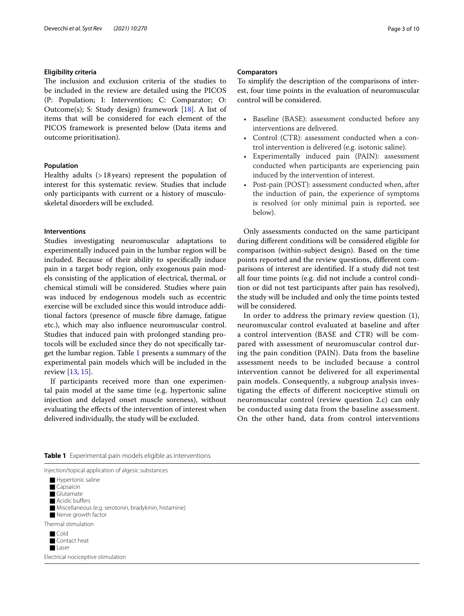## **Eligibility criteria**

The inclusion and exclusion criteria of the studies to be included in the review are detailed using the PICOS (P: Population; I: Intervention; C: Comparator; O: Outcome(s); S: Study design) framework [[18\]](#page-8-14). A list of items that will be considered for each element of the PICOS framework is presented below (Data items and outcome prioritisation).

## **Population**

Healthy adults (>18years) represent the population of interest for this systematic review. Studies that include only participants with current or a history of musculoskeletal disorders will be excluded.

## **Interventions**

Studies investigating neuromuscular adaptations to experimentally induced pain in the lumbar region will be included. Because of their ability to specifcally induce pain in a target body region, only exogenous pain models consisting of the application of electrical, thermal, or chemical stimuli will be considered. Studies where pain was induced by endogenous models such as eccentric exercise will be excluded since this would introduce additional factors (presence of muscle fbre damage, fatigue etc.), which may also infuence neuromuscular control. Studies that induced pain with prolonged standing protocols will be excluded since they do not specifcally target the lumbar region. Table [1](#page-2-0) presents a summary of the experimental pain models which will be included in the review [\[13](#page-8-9), [15\]](#page-8-10).

If participants received more than one experimental pain model at the same time (e.g. hypertonic saline injection and delayed onset muscle soreness), without evaluating the efects of the intervention of interest when delivered individually, the study will be excluded.

## **Comparators**

To simplify the description of the comparisons of interest, four time points in the evaluation of neuromuscular control will be considered.

- Baseline (BASE): assessment conducted before any interventions are delivered.
- Control (CTR): assessment conducted when a control intervention is delivered (e.g. isotonic saline).
- Experimentally induced pain (PAIN): assessment conducted when participants are experiencing pain induced by the intervention of interest.
- Post-pain (POST): assessment conducted when, after the induction of pain, the experience of symptoms is resolved (or only minimal pain is reported, see below).

Only assessments conducted on the same participant during diferent conditions will be considered eligible for comparison (within-subject design). Based on the time points reported and the review questions, diferent comparisons of interest are identifed. If a study did not test all four time points (e.g. did not include a control condition or did not test participants after pain has resolved), the study will be included and only the time points tested will be considered.

In order to address the primary review question (1), neuromuscular control evaluated at baseline and after a control intervention (BASE and CTR) will be compared with assessment of neuromuscular control during the pain condition (PAIN). Data from the baseline assessment needs to be included because a control intervention cannot be delivered for all experimental pain models. Consequently, a subgroup analysis investigating the efects of diferent nociceptive stimuli on neuromuscular control (review question 2.c) can only be conducted using data from the baseline assessment. On the other hand, data from control interventions

<span id="page-2-0"></span>

| <b>Table 1</b> Experimental pain models eligible as interventions |  |  |  |
|-------------------------------------------------------------------|--|--|--|
|-------------------------------------------------------------------|--|--|--|

| Injection/topical application of algesic substances                                                                                           |  |
|-----------------------------------------------------------------------------------------------------------------------------------------------|--|
| Hypertonic saline<br>Capsaicin<br>Glutamate<br>Acidic buffers<br>Miscellaneous (e.g. serotonin, bradykinin, histamine)<br>Nerve growth factor |  |
| Thermal stimulation                                                                                                                           |  |
| $\blacksquare$ Cold<br>■ Contact heat<br>Laser                                                                                                |  |
| Electrical nociceptive stimulation                                                                                                            |  |
|                                                                                                                                               |  |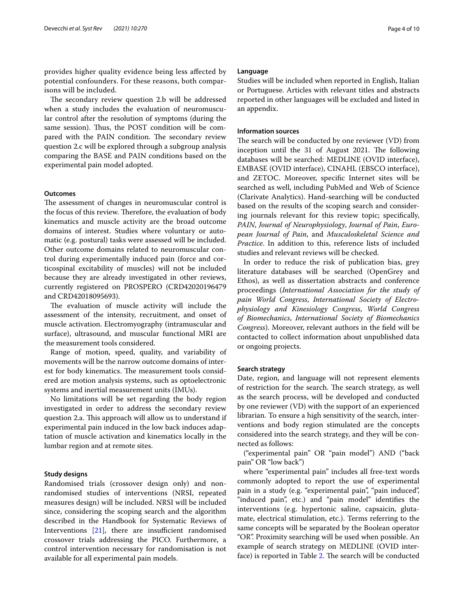provides higher quality evidence being less afected by potential confounders. For these reasons, both comparisons will be included.

The secondary review question 2.b will be addressed when a study includes the evaluation of neuromuscular control after the resolution of symptoms (during the same session). Thus, the POST condition will be compared with the PAIN condition. The secondary review question 2.c will be explored through a subgroup analysis comparing the BASE and PAIN conditions based on the experimental pain model adopted.

## **Outcomes**

The assessment of changes in neuromuscular control is the focus of this review. Therefore, the evaluation of body kinematics and muscle activity are the broad outcome domains of interest. Studies where voluntary or automatic (e.g. postural) tasks were assessed will be included. Other outcome domains related to neuromuscular control during experimentally induced pain (force and corticospinal excitability of muscles) will not be included because they are already investigated in other reviews, currently registered on PROSPERO (CRD42020196479 and CRD42018095693).

The evaluation of muscle activity will include the assessment of the intensity, recruitment, and onset of muscle activation. Electromyography (intramuscular and surface), ultrasound, and muscular functional MRI are the measurement tools considered.

Range of motion, speed, quality, and variability of movements will be the narrow outcome domains of interest for body kinematics. The measurement tools considered are motion analysis systems, such as optoelectronic systems and inertial measurement units (IMUs).

No limitations will be set regarding the body region investigated in order to address the secondary review question 2.a. This approach will allow us to understand if experimental pain induced in the low back induces adaptation of muscle activation and kinematics locally in the lumbar region and at remote sites.

## **Study designs**

Randomised trials (crossover design only) and nonrandomised studies of interventions (NRSI, repeated measures design) will be included. NRSI will be included since, considering the scoping search and the algorithm described in the Handbook for Systematic Reviews of Interventions  $[21]$  $[21]$ , there are insufficient randomised crossover trials addressing the PICO. Furthermore, a control intervention necessary for randomisation is not available for all experimental pain models.

## **Language**

Studies will be included when reported in English, Italian or Portuguese. Articles with relevant titles and abstracts reported in other languages will be excluded and listed in an appendix.

## **Information sources**

The search will be conducted by one reviewer (VD) from inception until the 31 of August 2021. The following databases will be searched: MEDLINE (OVID interface), EMBASE (OVID interface), CINAHL (EBSCO interface), and ZETOC. Moreover, specifc Internet sites will be searched as well, including PubMed and Web of Science (Clarivate Analytics). Hand-searching will be conducted based on the results of the scoping search and considering journals relevant for this review topic; specifcally, *PAIN*, *Journal of Neurophysiology*, *Journal of Pain*, *European Journal of Pain*, and *Musculoskeletal Science and Practice*. In addition to this, reference lists of included studies and relevant reviews will be checked.

In order to reduce the risk of publication bias, grey literature databases will be searched (OpenGrey and Ethos), as well as dissertation abstracts and conference proceedings (*International Association for the study of pain World Congress*, *International Society of Electrophysiology and Kinesiology Congress*, *World Congress of Biomechanics*, *International Society of Biomechanics Congress*). Moreover, relevant authors in the feld will be contacted to collect information about unpublished data or ongoing projects.

## **Search strategy**

Date, region, and language will not represent elements of restriction for the search. The search strategy, as well as the search process, will be developed and conducted by one reviewer (VD) with the support of an experienced librarian. To ensure a high sensitivity of the search, interventions and body region stimulated are the concepts considered into the search strategy, and they will be connected as follows:

("experimental pain" OR "pain model") AND ("back pain" OR "low back")

where "experimental pain" includes all free-text words commonly adopted to report the use of experimental pain in a study (e.g. "experimental pain", "pain induced", "induced pain", etc.) and "pain model" identifes the interventions (e.g. hypertonic saline, capsaicin, glutamate, electrical stimulation, etc.). Terms referring to the same concepts will be separated by the Boolean operator "OR". Proximity searching will be used when possible. An example of search strategy on MEDLINE (OVID inter-face) is reported in Table [2](#page-4-0). The search will be conducted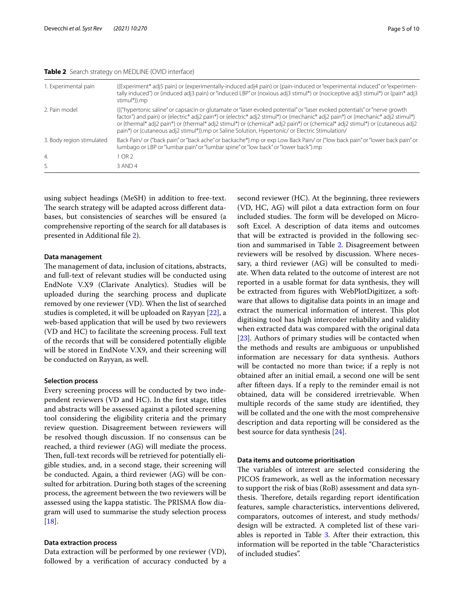## <span id="page-4-0"></span>**Table 2** Search strategy on MEDLINE (OVID interface)

| 1. Experimental pain      | ((Experiment* adj5 pain) or (experimentally-induced adj4 pain) or (pain-induced or "experimental induced" or "experimen-<br>tally induced") or (induced adj3 pain) or "induced LBP" or (noxious adj3 stimul*) or (nociceptive adj3 stimul*) or (pain* adj3<br>stimul*)).mp                                                                                                                                                                                                                      |
|---------------------------|-------------------------------------------------------------------------------------------------------------------------------------------------------------------------------------------------------------------------------------------------------------------------------------------------------------------------------------------------------------------------------------------------------------------------------------------------------------------------------------------------|
| 2. Pain model             | ((("hypertonic saline" or capsaicin or glutamate or "laser evoked potential" or "laser evoked potentials" or "nerve growth<br>factor") and pain) or (electric* adj2 pain*) or (electric* adj2 stimul*) or (mechanic* adj2 pain*) or (mechanic* adj2 stimul*)<br>or (thermal* adj2 pain*) or (thermal* adj2 stimul*) or (chemical* adj2 pain*) or (chemical* adj2 stimul*) or (cutaneous adj2<br>pain*) or (cutaneous adj2 stimul*)).mp or Saline Solution, Hypertonic/ or Electric Stimulation/ |
| 3. Body region stimulated | Back Pain/ or ("back pain" or "back ache" or backache*).mp or exp Low Back Pain/ or ("low back pain" or "lower back pain" or<br>lumbago or LBP or "lumbar pain" or "lumbar spine" or "low back" or "lower back").mp                                                                                                                                                                                                                                                                             |
| 4.                        | 1 OR 2                                                                                                                                                                                                                                                                                                                                                                                                                                                                                          |
| 5.                        | 3 AND 4                                                                                                                                                                                                                                                                                                                                                                                                                                                                                         |

using subject headings (MeSH) in addition to free-text. The search strategy will be adapted across different databases, but consistencies of searches will be ensured (a comprehensive reporting of the search for all databases is presented in Additional fle [2](#page-8-18)).

## **Data management**

The management of data, inclusion of citations, abstracts, and full-text of relevant studies will be conducted using EndNote V.X9 (Clarivate Analytics). Studies will be uploaded during the searching process and duplicate removed by one reviewer (VD). When the list of searched studies is completed, it will be uploaded on Rayyan [[22](#page-8-19)], a web-based application that will be used by two reviewers (VD and HC) to facilitate the screening process. Full text of the records that will be considered potentially eligible will be stored in EndNote V.X9, and their screening will be conducted on Rayyan, as well.

#### **Selection process**

Every screening process will be conducted by two independent reviewers (VD and HC). In the frst stage, titles and abstracts will be assessed against a piloted screening tool considering the eligibility criteria and the primary review question. Disagreement between reviewers will be resolved though discussion. If no consensus can be reached, a third reviewer (AG) will mediate the process. Then, full-text records will be retrieved for potentially eligible studies, and, in a second stage, their screening will be conducted. Again, a third reviewer (AG) will be consulted for arbitration. During both stages of the screening process, the agreement between the two reviewers will be assessed using the kappa statistic. The PRISMA flow diagram will used to summarise the study selection process [[18\]](#page-8-14).

## **Data extraction process**

Data extraction will be performed by one reviewer (VD), followed by a verifcation of accuracy conducted by a second reviewer (HC). At the beginning, three reviewers (VD, HC, AG) will pilot a data extraction form on four included studies. The form will be developed on Microsoft Excel. A description of data items and outcomes that will be extracted is provided in the following section and summarised in Table [2](#page-4-0). Disagreement between reviewers will be resolved by discussion. Where necessary, a third reviewer (AG) will be consulted to mediate. When data related to the outcome of interest are not reported in a usable format for data synthesis, they will be extracted from fgures with WebPlotDigitizer, a software that allows to digitalise data points in an image and extract the numerical information of interest. This plot digitising tool has high intercoder reliability and validity when extracted data was compared with the original data [[23\]](#page-8-20). Authors of primary studies will be contacted when the methods and results are ambiguous or unpublished information are necessary for data synthesis. Authors will be contacted no more than twice; if a reply is not obtained after an initial email, a second one will be sent after ffteen days. If a reply to the reminder email is not obtained, data will be considered irretrievable. When multiple records of the same study are identifed, they will be collated and the one with the most comprehensive description and data reporting will be considered as the best source for data synthesis [[24](#page-8-21)].

#### **Data items and outcome prioritisation**

The variables of interest are selected considering the PICOS framework, as well as the information necessary to support the risk of bias (RoB) assessment and data synthesis. Therefore, details regarding report identification features, sample characteristics, interventions delivered, comparators, outcomes of interest, and study methods/ design will be extracted. A completed list of these vari-ables is reported in Table [3](#page-5-0). After their extraction, this information will be reported in the table "Characteristics of included studies".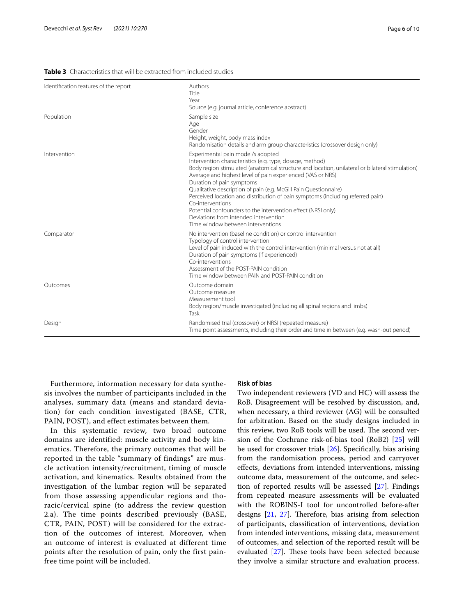## <span id="page-5-0"></span>**Table 3** Characteristics that will be extracted from included studies

| Identification features of the report | Authors<br>Title<br>Year<br>Source (e.g. journal article, conference abstract)                                                                                                                                                                                                                                                                                                                                                                                                                                                                                                                                      |
|---------------------------------------|---------------------------------------------------------------------------------------------------------------------------------------------------------------------------------------------------------------------------------------------------------------------------------------------------------------------------------------------------------------------------------------------------------------------------------------------------------------------------------------------------------------------------------------------------------------------------------------------------------------------|
| Population                            | Sample size<br>Age<br>Gender<br>Height, weight, body mass index<br>Randomisation details and arm group characteristics (crossover design only)                                                                                                                                                                                                                                                                                                                                                                                                                                                                      |
| Intervention                          | Experimental pain model/s adopted<br>Intervention characteristics (e.g. type, dosage, method)<br>Body region stimulated (anatomical structure and location, unilateral or bilateral stimulation)<br>Average and highest level of pain experienced (VAS or NRS)<br>Duration of pain symptoms<br>Qualitative description of pain (e.g. McGill Pain Questionnaire)<br>Perceived location and distribution of pain symptoms (including referred pain)<br>Co-interventions<br>Potential confounders to the intervention effect (NRSI only)<br>Deviations from intended intervention<br>Time window between interventions |
| Comparator                            | No intervention (baseline condition) or control intervention<br>Typology of control intervention<br>Level of pain induced with the control intervention (minimal versus not at all)<br>Duration of pain symptoms (if experienced)<br>Co-interventions<br>Assessment of the POST-PAIN condition<br>Time window between PAIN and POST-PAIN condition                                                                                                                                                                                                                                                                  |
| Outcomes                              | Outcome domain<br>Outcome measure<br>Measurement tool<br>Body region/muscle investigated (including all spinal regions and limbs)<br>Task                                                                                                                                                                                                                                                                                                                                                                                                                                                                           |
| Design                                | Randomised trial (crossover) or NRSI (repeated measure)<br>Time point assessments, including their order and time in between (e.g. wash-out period)                                                                                                                                                                                                                                                                                                                                                                                                                                                                 |

Furthermore, information necessary for data synthesis involves the number of participants included in the analyses, summary data (means and standard deviation) for each condition investigated (BASE, CTR, PAIN, POST), and effect estimates between them.

In this systematic review, two broad outcome domains are identified: muscle activity and body kinematics. Therefore, the primary outcomes that will be reported in the table "summary of findings" are muscle activation intensity/recruitment, timing of muscle activation, and kinematics. Results obtained from the investigation of the lumbar region will be separated from those assessing appendicular regions and thoracic/cervical spine (to address the review question 2.a). The time points described previously (BASE, CTR, PAIN, POST) will be considered for the extraction of the outcomes of interest. Moreover, when an outcome of interest is evaluated at different time points after the resolution of pain, only the first painfree time point will be included.

#### **Risk of bias**

Two independent reviewers (VD and HC) will assess the RoB. Disagreement will be resolved by discussion, and, when necessary, a third reviewer (AG) will be consulted for arbitration. Based on the study designs included in this review, two RoB tools will be used. The second version of the Cochrane risk-of-bias tool (RoB2) [[25](#page-8-22)] will be used for crossover trials [[26\]](#page-8-23). Specifcally, bias arising from the randomisation process, period and carryover efects, deviations from intended interventions, missing outcome data, measurement of the outcome, and selection of reported results will be assessed [\[27\]](#page-9-0). Findings from repeated measure assessments will be evaluated with the ROBINS-I tool for uncontrolled before-after designs  $[21, 27]$  $[21, 27]$  $[21, 27]$  $[21, 27]$ . Therefore, bias arising from selection of participants, classifcation of interventions, deviation from intended interventions, missing data, measurement of outcomes, and selection of the reported result will be evaluated  $[27]$ . These tools have been selected because they involve a similar structure and evaluation process.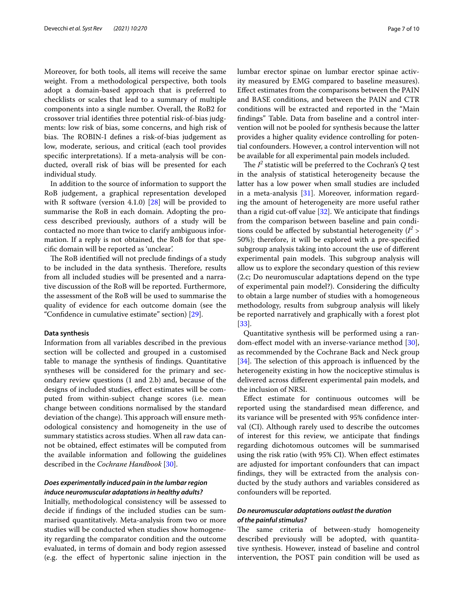Moreover, for both tools, all items will receive the same weight. From a methodological perspective, both tools adopt a domain-based approach that is preferred to checklists or scales that lead to a summary of multiple components into a single number. Overall, the RoB2 for crossover trial identifes three potential risk-of-bias judgments: low risk of bias, some concerns, and high risk of bias. The ROBIN-I defines a risk-of-bias judgement as low, moderate, serious, and critical (each tool provides specifc interpretations). If a meta-analysis will be conducted, overall risk of bias will be presented for each individual study.

In addition to the source of information to support the RoB judgement, a graphical representation developed with R software (version 4.1.0) [\[28](#page-9-1)] will be provided to summarise the RoB in each domain. Adopting the process described previously, authors of a study will be contacted no more than twice to clarify ambiguous information. If a reply is not obtained, the RoB for that specifc domain will be reported as 'unclear'.

The RoB identified will not preclude findings of a study to be included in the data synthesis. Therefore, results from all included studies will be presented and a narrative discussion of the RoB will be reported. Furthermore, the assessment of the RoB will be used to summarise the quality of evidence for each outcome domain (see the "Confdence in cumulative estimate" section) [[29](#page-9-2)].

## **Data synthesis**

Information from all variables described in the previous section will be collected and grouped in a customised table to manage the synthesis of fndings. Quantitative syntheses will be considered for the primary and secondary review questions (1 and 2.b) and, because of the designs of included studies, efect estimates will be computed from within-subject change scores (i.e. mean change between conditions normalised by the standard deviation of the change). This approach will ensure methodological consistency and homogeneity in the use of summary statistics across studies. When all raw data cannot be obtained, efect estimates will be computed from the available information and following the guidelines described in the *Cochrane Handbook* [[30\]](#page-9-3).

## *Does experimentally induced pain in the lumbar region induce neuromuscular adaptations in healthy adults?*

Initially, methodological consistency will be assessed to decide if fndings of the included studies can be summarised quantitatively. Meta-analysis from two or more studies will be conducted when studies show homogeneity regarding the comparator condition and the outcome evaluated, in terms of domain and body region assessed (e.g. the efect of hypertonic saline injection in the lumbar erector spinae on lumbar erector spinae activity measured by EMG compared to baseline measures). Efect estimates from the comparisons between the PAIN and BASE conditions, and between the PAIN and CTR conditions will be extracted and reported in the "Main fndings" Table. Data from baseline and a control intervention will not be pooled for synthesis because the latter provides a higher quality evidence controlling for potential confounders. However, a control intervention will not be available for all experimental pain models included.

The  $I^2$  statistic will be preferred to the Cochran's  $Q$  test in the analysis of statistical heterogeneity because the latter has a low power when small studies are included in a meta-analysis  $[31]$  $[31]$ . Moreover, information regarding the amount of heterogeneity are more useful rather than a rigid cut-off value  $[32]$  $[32]$ . We anticipate that findings from the comparison between baseline and pain conditions could be affected by substantial heterogeneity  $(l^2 > 1)$ 50%); therefore, it will be explored with a pre-specifed subgroup analysis taking into account the use of diferent experimental pain models. This subgroup analysis will allow us to explore the secondary question of this review (2.c; Do neuromuscular adaptations depend on the type of experimental pain model?). Considering the difficulty to obtain a large number of studies with a homogeneous methodology, results from subgroup analysis will likely be reported narratively and graphically with a forest plot [[33\]](#page-9-6).

Quantitative synthesis will be performed using a ran-dom-effect model with an inverse-variance method [\[30](#page-9-3)], as recommended by the Cochrane Back and Neck group  $[34]$  $[34]$ . The selection of this approach is influenced by the heterogeneity existing in how the nociceptive stimulus is delivered across diferent experimental pain models, and the inclusion of NRSI.

Efect estimate for continuous outcomes will be reported using the standardised mean diference, and its variance will be presented with 95% confdence interval (CI). Although rarely used to describe the outcomes of interest for this review, we anticipate that fndings regarding dichotomous outcomes will be summarised using the risk ratio (with 95% CI). When efect estimates are adjusted for important confounders that can impact fndings, they will be extracted from the analysis conducted by the study authors and variables considered as confounders will be reported.

## *Do neuromuscular adaptations outlast the duration of the painful stimulus?*

The same criteria of between-study homogeneity described previously will be adopted, with quantitative synthesis. However, instead of baseline and control intervention, the POST pain condition will be used as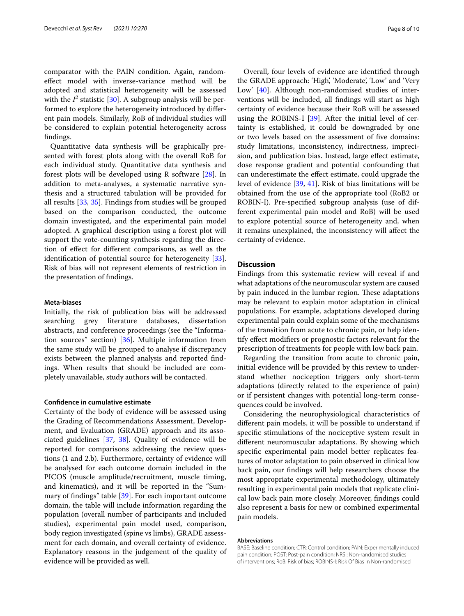comparator with the PAIN condition. Again, randomefect model with inverse-variance method will be adopted and statistical heterogeneity will be assessed with the  $I^2$  statistic [\[30](#page-9-3)]. A subgroup analysis will be performed to explore the heterogeneity introduced by diferent pain models. Similarly, RoB of individual studies will be considered to explain potential heterogeneity across fndings.

Quantitative data synthesis will be graphically presented with forest plots along with the overall RoB for each individual study. Quantitative data synthesis and forest plots will be developed using R software [[28\]](#page-9-1). In addition to meta-analyses, a systematic narrative synthesis and a structured tabulation will be provided for all results [[33,](#page-9-6) [35\]](#page-9-8). Findings from studies will be grouped based on the comparison conducted, the outcome domain investigated, and the experimental pain model adopted. A graphical description using a forest plot will support the vote-counting synthesis regarding the direction of efect for diferent comparisons, as well as the identifcation of potential source for heterogeneity [\[33](#page-9-6)]. Risk of bias will not represent elements of restriction in the presentation of fndings.

## **Meta‑biases**

Initially, the risk of publication bias will be addressed searching grey literature databases, dissertation abstracts, and conference proceedings (see the "Information sources" section) [\[36](#page-9-9)]. Multiple information from the same study will be grouped to analyse if discrepancy exists between the planned analysis and reported fndings. When results that should be included are completely unavailable, study authors will be contacted.

## **Confdence in cumulative estimate**

Certainty of the body of evidence will be assessed using the Grading of Recommendations Assessment, Development, and Evaluation (GRADE) approach and its associated guidelines [\[37](#page-9-10), [38](#page-9-11)]. Quality of evidence will be reported for comparisons addressing the review questions (1 and 2.b). Furthermore, certainty of evidence will be analysed for each outcome domain included in the PICOS (muscle amplitude/recruitment, muscle timing, and kinematics), and it will be reported in the "Summary of fndings" table [\[39](#page-9-12)]. For each important outcome domain, the table will include information regarding the population (overall number of participants and included studies), experimental pain model used, comparison, body region investigated (spine vs limbs), GRADE assessment for each domain, and overall certainty of evidence. Explanatory reasons in the judgement of the quality of evidence will be provided as well.

Overall, four levels of evidence are identifed through the GRADE approach: 'High', 'Moderate', 'Low' and 'Very Low' [[40\]](#page-9-13). Although non-randomised studies of interventions will be included, all fndings will start as high certainty of evidence because their RoB will be assessed using the ROBINS-I [\[39\]](#page-9-12). After the initial level of certainty is established, it could be downgraded by one or two levels based on the assessment of fve domains: study limitations, inconsistency, indirectness, imprecision, and publication bias. Instead, large efect estimate, dose response gradient and potential confounding that can underestimate the efect estimate, could upgrade the level of evidence [[39,](#page-9-12) [41\]](#page-9-14). Risk of bias limitations will be obtained from the use of the appropriate tool (RoB2 or ROBIN-I). Pre-specifed subgroup analysis (use of different experimental pain model and RoB) will be used to explore potential source of heterogeneity and, when it remains unexplained, the inconsistency will afect the certainty of evidence.

## **Discussion**

Findings from this systematic review will reveal if and what adaptations of the neuromuscular system are caused by pain induced in the lumbar region. These adaptations may be relevant to explain motor adaptation in clinical populations. For example, adaptations developed during experimental pain could explain some of the mechanisms of the transition from acute to chronic pain, or help identify efect modifers or prognostic factors relevant for the prescription of treatments for people with low back pain.

Regarding the transition from acute to chronic pain, initial evidence will be provided by this review to understand whether nociception triggers only short-term adaptations (directly related to the experience of pain) or if persistent changes with potential long-term consequences could be involved.

Considering the neurophysiological characteristics of diferent pain models, it will be possible to understand if specifc stimulations of the nociceptive system result in diferent neuromuscular adaptations. By showing which specifc experimental pain model better replicates features of motor adaptation to pain observed in clinical low back pain, our fndings will help researchers choose the most appropriate experimental methodology, ultimately resulting in experimental pain models that replicate clinical low back pain more closely. Moreover, fndings could also represent a basis for new or combined experimental pain models.

#### **Abbreviations**

BASE: Baseline condition; CTR: Control condition; PAIN: Experimentally induced pain condition; POST: Post-pain condition; NRSI: Non-randomised studies of interventions; RoB: Risk of bias; ROBINS-I: Risk Of Bias in Non-randomised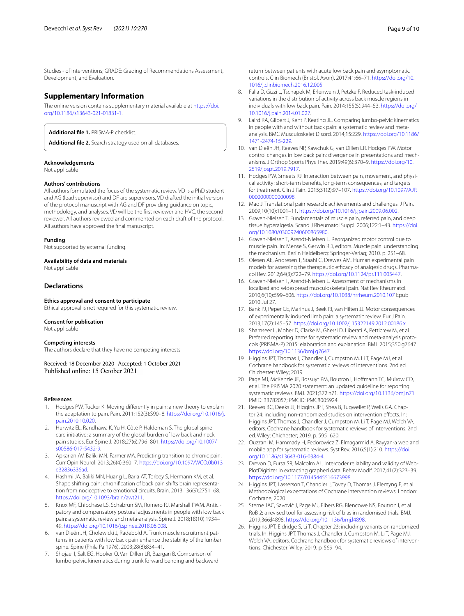Studies - of Interventions; GRADE: Grading of Recommendations Assessment, Development, and Evaluation.

## **Supplementary Information**

The online version contains supplementary material available at [https://doi.](https://doi.org/10.1186/s13643-021-01831-1) [org/10.1186/s13643-021-01831-1](https://doi.org/10.1186/s13643-021-01831-1).

<span id="page-8-18"></span><span id="page-8-13"></span>**Additional fle 1.** PRISMA-P checklist.

**Additional fle 2.** Search strategy used on all databases.

#### **Acknowledgements**

Not applicable

#### **Authors' contributions**

All authors formulated the focus of the systematic review. VD is a PhD student and AG (lead supervisor) and DF are supervisors. VD drafted the initial version of the protocol manuscript with AG and DF providing guidance on topic, methodology, and analyses. VD will be the frst reviewer and HVC, the second reviewer. All authors reviewed and commented on each draft of the protocol. All authors have approved the fnal manuscript.

#### **Funding**

Not supported by external funding.

#### **Availability of data and materials**

Not applicable

## **Declarations**

#### **Ethics approval and consent to participate**

Ethical approval is not required for this systematic review.

#### **Consent for publication**

Not applicable

#### **Competing interests**

The authors declare that they have no competing interests

Received: 18 December 2020 Accepted: 1 October 2021 Published online: 15 October 2021

#### **References**

- <span id="page-8-0"></span>1. Hodges PW, Tucker K. Moving diferently in pain: a new theory to explain the adaptation to pain. Pain. 2011;152(3):S90–8. [https://doi.org/10.1016/j.](https://doi.org/10.1016/j.pain.2010.10.020) [pain.2010.10.020.](https://doi.org/10.1016/j.pain.2010.10.020)
- <span id="page-8-1"></span>2. Hurwitz EL, Randhawa K, Yu H, Côté P, Haldeman S. The global spine care initiative: a summary of the global burden of low back and neck pain studies. Eur Spine J. 2018;27(6):796–801. [https://doi.org/10.1007/](https://doi.org/10.1007/s00586-017-5432-9) [s00586-017-5432-9.](https://doi.org/10.1007/s00586-017-5432-9)
- <span id="page-8-2"></span>3. Apkarian AV, Baliki MN, Farmer MA. Predicting transition to chronic pain. Curr Opin Neurol. 2013;26(4):360–7. [https://doi.org/10.1097/WCO.0b013](https://doi.org/10.1097/WCO.0b013e32836336ad) [e32836336ad](https://doi.org/10.1097/WCO.0b013e32836336ad).
- <span id="page-8-3"></span>4. Hashmi JA, Baliki MN, Huang L, Baria AT, Torbey S, Hermann KM, et al. Shape shifting pain: chronifcation of back pain shifts brain representation from nociceptive to emotional circuits. Brain. 2013;136(9):2751–68. [https://doi.org/10.1093/brain/awt211.](https://doi.org/10.1093/brain/awt211)
- <span id="page-8-4"></span>5. Knox MF, Chipchase LS, Schabrun SM, Romero RJ, Marshall PWM. Anticipatory and compensatory postural adjustments in people with low back pain: a systematic review and meta-analysis. Spine J. 2018;18(10):1934– 49. <https://doi.org/10.1016/j.spinee.2018.06.008>.
- 6. van Dieën JH, Cholewicki J, Radebold A. Trunk muscle recruitment patterns in patients with low back pain enhance the stability of the lumbar spine. Spine (Phila Pa 1976). 2003;28(8):834–41.
- 7. Shojaei I, Salt EG, Hooker Q, Van Dillen LR, Bazrgari B. Comparison of lumbo-pelvic kinematics during trunk forward bending and backward

return between patients with acute low back pain and asymptomatic controls. Clin Biomech (Bristol, Avon). 2017;41:66–71. [https://doi.org/10.](https://doi.org/10.1016/j.clinbiomech.2016.12.005) [1016/j.clinbiomech.2016.12.005](https://doi.org/10.1016/j.clinbiomech.2016.12.005).

- 8. Falla D, Gizzi L, Tschapek M, Erlenwein J, Petzke F. Reduced task-induced variations in the distribution of activity across back muscle regions in individuals with low back pain. Pain. 2014;155(5):944–53. [https://doi.org/](https://doi.org/10.1016/j.pain.2014.01.027) [10.1016/j.pain.2014.01.027](https://doi.org/10.1016/j.pain.2014.01.027).
- <span id="page-8-5"></span>9. Laird RA, Gilbert J, Kent P, Keating JL. Comparing lumbo-pelvic kinematics in people with and without back pain: a systematic review and metaanalysis. BMC Musculoskelet Disord. 2014;15:229. [https://doi.org/10.1186/](https://doi.org/10.1186/1471-2474-15-229) [1471-2474-15-229](https://doi.org/10.1186/1471-2474-15-229).
- <span id="page-8-6"></span>10. van Dieën JH, Reeves NP, Kawchuk G, van Dillen LR, Hodges PW. Motor control changes in low back pain: divergence in presentations and mechanisms. J Orthop Sports Phys Ther. 2019;49(6):370–9. [https://doi.org/10.](https://doi.org/10.2519/jospt.2019.7917) [2519/jospt.2019.7917.](https://doi.org/10.2519/jospt.2019.7917)
- <span id="page-8-7"></span>11. Hodges PW, Smeets RJ. Interaction between pain, movement, and physical activity: short-term benefts, long-term consequences, and targets for treatment. Clin J Pain. 2015;31(2):97–107. [https://doi.org/10.1097/AJP.](https://doi.org/10.1097/AJP.0000000000000098) [0000000000000098](https://doi.org/10.1097/AJP.0000000000000098).
- <span id="page-8-8"></span>12. Mao J. Translational pain research: achievements and challenges. J Pain. 2009;10(10):1001–11. [https://doi.org/10.1016/j.jpain.2009.06.002.](https://doi.org/10.1016/j.jpain.2009.06.002)
- <span id="page-8-9"></span>13. Graven-Nielsen T. Fundamentals of muscle pain, referred pain, and deep tissue hyperalgesia. Scand J Rheumatol Suppl. 2006;122:1–43. [https://doi.](https://doi.org/10.1080/03009740600865980) [org/10.1080/03009740600865980.](https://doi.org/10.1080/03009740600865980)
- 14. Graven-Nielsen T, Arendt-Nielsen L. Reorganized motor control due to muscle pain. In: Mense S, Gerwin RD, editors. Muscle pain: understanding the mechanism. Berlin Heidelberg: Springer-Verlag; 2010. p. 251–68.
- <span id="page-8-10"></span>15. Olesen AE, Andresen T, Staahl C, Drewes AM. Human experimental pain models for assessing the therapeutic efficacy of analgesic drugs. Pharmacol Rev. 2012;64(3):722–79.<https://doi.org/10.1124/pr.111.005447>.
- <span id="page-8-11"></span>16. Graven-Nielsen T, Arendt-Nielsen L. Assessment of mechanisms in localized and widespread musculoskeletal pain. Nat Rev Rheumatol. 2010;6(10):599–606. <https://doi.org/10.1038/nrrheum.2010.107> Epub 2010 Jul 27.
- <span id="page-8-12"></span>17. Bank PJ, Peper CE, Marinus J, Beek PJ, van Hilten JJ. Motor consequences of experimentally induced limb pain: a systematic review. Eur J Pain. 2013;17(2):145–57. [https://doi.org/10.1002/j.15322149.2012.00186.x.](https://doi.org/10.1002/j.15322149.2012.00186.x)
- <span id="page-8-14"></span>18. Shamseer L, Moher D, Clarke M, Ghersi D, Liberati A, Petticrew M, et al. Preferred reporting items for systematic review and meta-analysis protocols (PRISMA-P) 2015: elaboration and explanation. BMJ. 2015;350:g7647. <https://doi.org/10.1136/bmj.g7647>.
- <span id="page-8-15"></span>19. Higgins JPT, Thomas J, Chandler J, Cumpston M, Li T, Page MJ, et al. Cochrane handbook for systematic reviews of interventions. 2nd ed. Chichester: Wiley; 2019.
- <span id="page-8-16"></span>20. Page MJ, McKenzie JE, Bossuyt PM, Boutron I, Hoffmann TC, Mulrow CD, et al. The PRISMA 2020 statement: an updated guideline for reporting systematic reviews. BMJ. 2021;372:n71.<https://doi.org/10.1136/bmj.n71> PMID: 33782057; PMCID: PMC8005924.
- <span id="page-8-17"></span>21. Reeves BC, Deeks JJ, Higgins JPT, Shea B, Tugwellet P, Wells GA. Chapter 24: including non-randomized studies on intervention efects. In: Higgins JPT, Thomas J, Chandler J, Cumpston M, Li T, Page MJ, Welch VA, editors. Cochrane handbook for systematic reviews of interventions. 2nd ed. Wiley: Chichester; 2019. p. 595–620.
- <span id="page-8-19"></span>22. Ouzzani M, Hammady H, Fedorowicz Z, Elmagarmid A. Rayyan-a web and mobile app for systematic reviews. Syst Rev. 2016;5(1):210. [https://doi.](https://doi.org/10.1186/s13643-016-0384-4) [org/10.1186/s13643-016-0384-4.](https://doi.org/10.1186/s13643-016-0384-4)
- <span id="page-8-20"></span>23. Drevon D, Fursa SR, Malcolm AL. Intercoder reliability and validity of Web-PlotDigitizer in extracting graphed data. Behav Modif. 2017;41(2):323–39. <https://doi.org/10.1177/0145445516673998>.
- <span id="page-8-21"></span>24. Higgins JPT, Lasserson T, Chandler J, Tovey D, Thomas J, Flemyng E, et al. Methodological expectations of Cochrane intervention reviews. London: Cochrane; 2020.
- <span id="page-8-22"></span>25. Sterne JAC, Savović J, Page MJ, Elbers RG, Blencowe NS, Boutron I, et al. RoB 2: a revised tool for assessing risk of bias in randomised trials. BMJ. 2019;366:l4898.<https://doi.org/10.1136/bmj.l4898>.
- <span id="page-8-23"></span>26. Higgins JPT, Eldridge S, Li T. Chapter 23: including variants on randomized trials. In: Higgins JPT, Thomas J, Chandler J, Cumpston M, Li T, Page MJ, Welch VA, editors. Cochrane handbook for systematic reviews of interventions. Chichester: Wiley; 2019. p. 569–94.